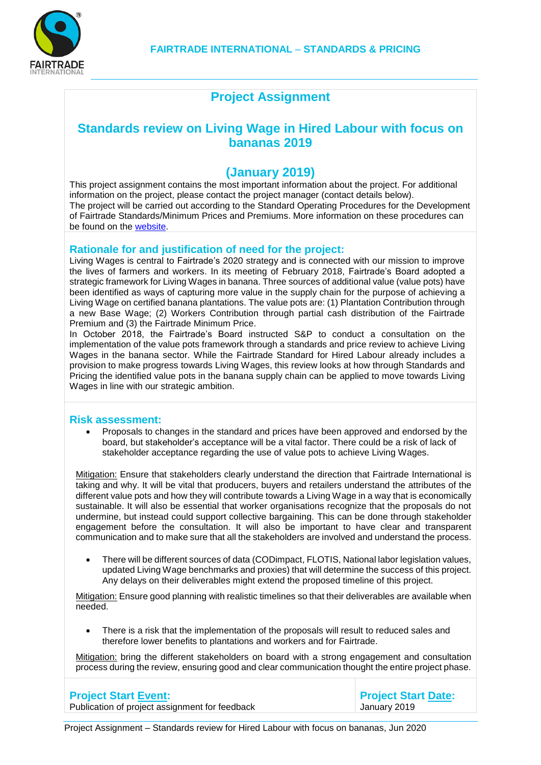

## **Project Assignment**

## **Standards review on Living Wage in Hired Labour with focus on bananas 2019**

### **(January 2019)**

This project assignment contains the most important information about the project. For additional information on the project, please contact the project manager (contact details below). The project will be carried out according to the Standard Operating Procedures for the Development of Fairtrade Standards/Minimum Prices and Premiums. More information on these procedures can be found on the [website.](https://www.fairtrade.net/standards/setting-the-standards.html)

#### **Rationale for and justification of need for the project:**

Living Wages is central to Fairtrade's 2020 strategy and is connected with our mission to improve the lives of farmers and workers. In its meeting of February 2018, Fairtrade's Board adopted a strategic framework for Living Wages in banana. Three sources of additional value (value pots) have been identified as ways of capturing more value in the supply chain for the purpose of achieving a Living Wage on certified banana plantations. The value pots are: (1) Plantation Contribution through a new Base Wage; (2) Workers Contribution through partial cash distribution of the Fairtrade Premium and (3) the Fairtrade Minimum Price.

In October 2018, the Fairtrade's Board instructed S&P to conduct a consultation on the implementation of the value pots framework through a standards and price review to achieve Living Wages in the banana sector. While the Fairtrade Standard for Hired Labour already includes a provision to make progress towards Living Wages, this review looks at how through Standards and Pricing the identified value pots in the banana supply chain can be applied to move towards Living Wages in line with our strategic ambition.

#### **Risk assessment:**

 Proposals to changes in the standard and prices have been approved and endorsed by the board, but stakeholder's acceptance will be a vital factor. There could be a risk of lack of stakeholder acceptance regarding the use of value pots to achieve Living Wages.

 Mitigation: Ensure that stakeholders clearly understand the direction that Fairtrade International is taking and why. It will be vital that producers, buyers and retailers understand the attributes of the different value pots and how they will contribute towards a Living Wage in a way that is economically sustainable. It will also be essential that worker organisations recognize that the proposals do not undermine, but instead could support collective bargaining. This can be done through stakeholder engagement before the consultation. It will also be important to have clear and transparent communication and to make sure that all the stakeholders are involved and understand the process.

 There will be different sources of data (CODimpact, FLOTIS, National labor legislation values, updated Living Wage benchmarks and proxies) that will determine the success of this project. Any delays on their deliverables might extend the proposed timeline of this project.

Mitigation: Ensure good planning with realistic timelines so that their deliverables are available when needed.

 There is a risk that the implementation of the proposals will result to reduced sales and therefore lower benefits to plantations and workers and for Fairtrade.

Mitigation: bring the different stakeholders on board with a strong engagement and consultation process during the review, ensuring good and clear communication thought the entire project phase.

| <b>Project Start Event:</b>                    | <b>Project Start Date:</b> |
|------------------------------------------------|----------------------------|
| Publication of project assignment for feedback | January 2019               |

Project Assignment – Standards review for Hired Labour with focus on bananas, Jun 2020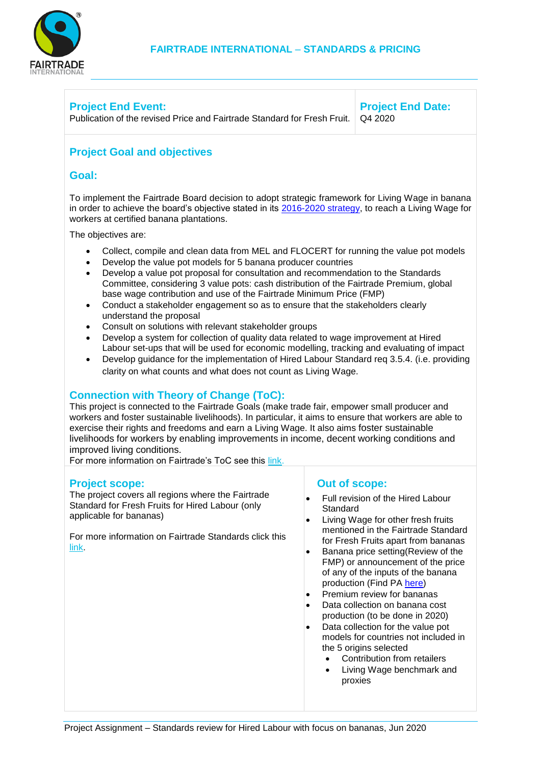

#### **Project End Event:** Publication of the revised Price and Fairtrade Standard for Fresh Fruit. Q4 2020

**Project End Date:**

# **Project Goal and objectives**

### **Goal:**

To implement the Fairtrade Board decision to adopt strategic framework for Living Wage in banana in order to achieve the board's objective stated in its [2016-2020 strategy,](https://www.fairtrade.net/fileadmin/user_upload/content/2009/about_fairtrade/documents/2016-Fairtrade-Global-Strategy-web.pdf) to reach a Living Wage for workers at certified banana plantations.

The objectives are:

- Collect, compile and clean data from MEL and FLOCERT for running the value pot models
- Develop the value pot models for 5 banana producer countries
- Develop a value pot proposal for consultation and recommendation to the Standards Committee, considering 3 value pots: cash distribution of the Fairtrade Premium, global base wage contribution and use of the Fairtrade Minimum Price (FMP)
- Conduct a stakeholder engagement so as to ensure that the stakeholders clearly understand the proposal
- Consult on solutions with relevant stakeholder groups
- Develop a system for collection of quality data related to wage improvement at Hired Labour set-ups that will be used for economic modelling, tracking and evaluating of impact
- Develop guidance for the implementation of Hired Labour Standard req 3.5.4. (i.e. providing clarity on what counts and what does not count as Living Wage.

### **Connection with Theory of Change (ToC):**

This project is connected to the Fairtrade Goals (make trade fair, empower small producer and workers and foster sustainable livelihoods). In particular, it aims to ensure that workers are able to exercise their rights and freedoms and earn a Living Wage. It also aims foster sustainable livelihoods for workers by enabling improvements in income, decent working conditions and improved living conditions.

For more information on Fairtrade's ToC see this [link.](http://www.fairtrade.net/resources/our-theory-of-change.html)

#### **Project scope:**

The project covers all regions where the Fairtrade Standard for Fresh Fruits for Hired Labour (only applicable for bananas)

For more information on Fairtrade Standards click this [link.](http://www.fairtrade.net/standards/our-standards.html)

#### **Out of scope:**

- Full revision of the Hired Labour **Standard**
- Living Wage for other fresh fruits mentioned in the Fairtrade Standard for Fresh Fruits apart from bananas
- Banana price setting(Review of the FMP) or announcement of the price of any of the inputs of the banana production (Find P[A here\)](https://www.fairtrade.net/fileadmin/user_upload/content/2009/standards/20181205-PA-BananaPrice_Review2019.pdf)
- Premium review for bananas
- Data collection on banana cost production (to be done in 2020)
- Data collection for the value pot models for countries not included in the 5 origins selected
	- Contribution from retailers
	- Living Wage benchmark and proxies